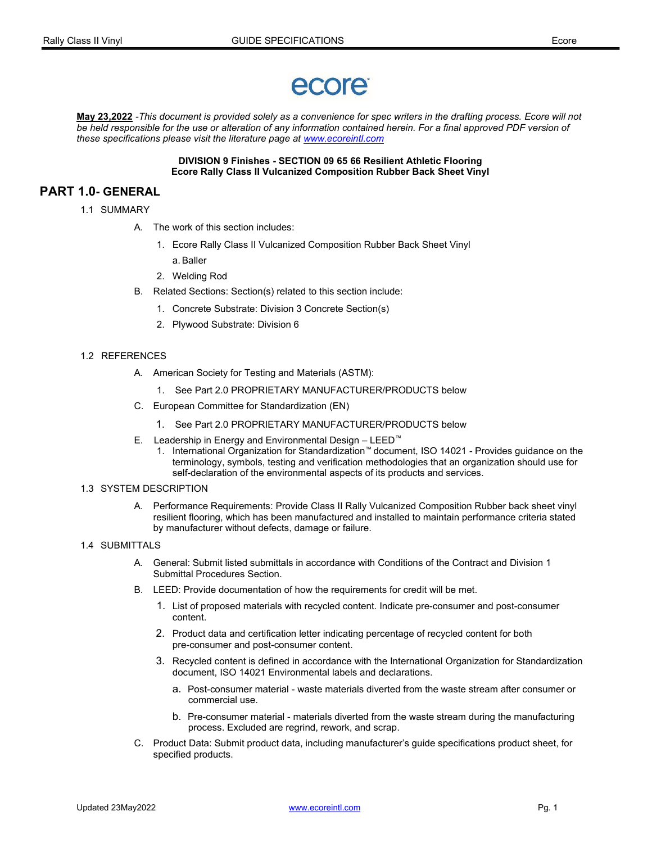# ecore

May 23,2022 -This document is provided solely as a convenience for spec writers in the drafting process. Ecore will not be held responsible for the use or alteration of any information contained herein. For a final approved PDF version of these specifications please visit the literature page at www.ecoreintl.com

#### DIVISION 9 Finishes - SECTION 09 65 66 Resilient Athletic Flooring Ecore Rally Class II Vulcanized Composition Rubber Back Sheet Vinyl

# PART 1.0- GENERAL

- 1.1 SUMMARY
	- A. The work of this section includes:
		- 1. Ecore Rally Class II Vulcanized Composition Rubber Back Sheet Vinyl a. Baller
		- 2. Welding Rod
	- B. Related Sections: Section(s) related to this section include:
		- 1. Concrete Substrate: Division 3 Concrete Section(s)
		- 2. Plywood Substrate: Division 6

#### 1.2 REFERENCES

- A. American Society for Testing and Materials (ASTM):
	- 1. See Part 2.0 PROPRIETARY MANUFACTURER/PRODUCTS below
- C. European Committee for Standardization (EN)
	- 1. See Part 2.0 PROPRIETARY MANUFACTURER/PRODUCTS below
- E. Leadership in Energy and Environmental Design LEED™
	- 1. International Organization for Standardization™ document, ISO 14021 Provides guidance on the terminology, symbols, testing and verification methodologies that an organization should use for self-declaration of the environmental aspects of its products and services.

#### 1.3 SYSTEM DESCRIPTION

- A. Performance Requirements: Provide Class II Rally Vulcanized Composition Rubber back sheet vinyl resilient flooring, which has been manufactured and installed to maintain performance criteria stated by manufacturer without defects, damage or failure.
- 1.4 SUBMITTALS
	- A. General: Submit listed submittals in accordance with Conditions of the Contract and Division 1 Submittal Procedures Section.
	- B. LEED: Provide documentation of how the requirements for credit will be met.
		- 1. List of proposed materials with recycled content. Indicate pre-consumer and post-consumer content.
		- 2. Product data and certification letter indicating percentage of recycled content for both pre-consumer and post-consumer content.
		- 3. Recycled content is defined in accordance with the International Organization for Standardization document, ISO 14021 Environmental labels and declarations.
			- a. Post-consumer material waste materials diverted from the waste stream after consumer or commercial use.
			- b. Pre-consumer material materials diverted from the waste stream during the manufacturing process. Excluded are regrind, rework, and scrap.
	- C. Product Data: Submit product data, including manufacturer's guide specifications product sheet, for specified products.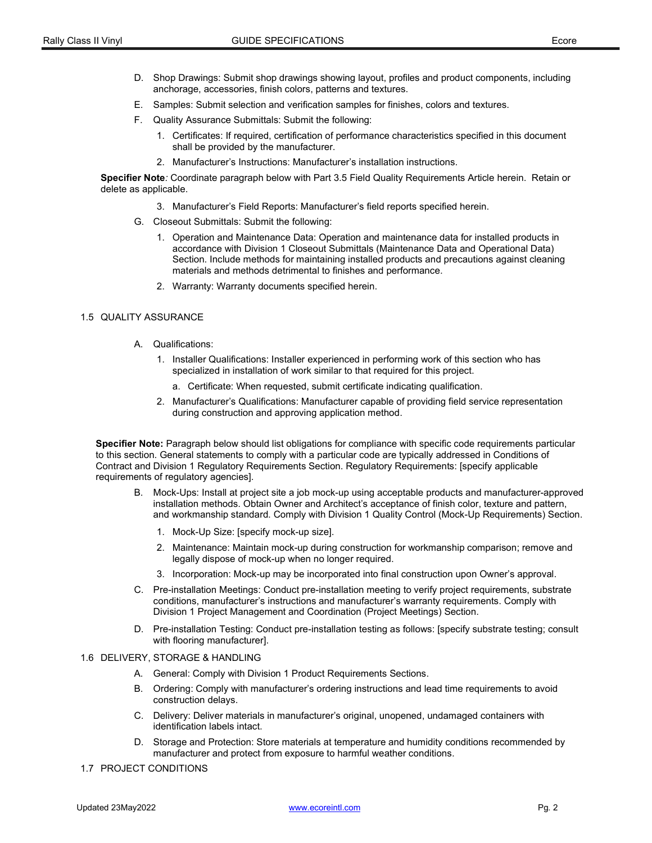- D. Shop Drawings: Submit shop drawings showing layout, profiles and product components, including anchorage, accessories, finish colors, patterns and textures.
- E. Samples: Submit selection and verification samples for finishes, colors and textures.
- F. Quality Assurance Submittals: Submit the following:
	- 1. Certificates: If required, certification of performance characteristics specified in this document shall be provided by the manufacturer.
	- 2. Manufacturer's Instructions: Manufacturer's installation instructions.

Specifier Note: Coordinate paragraph below with Part 3.5 Field Quality Requirements Article herein. Retain or delete as applicable.

- 3. Manufacturer's Field Reports: Manufacturer's field reports specified herein.
- G. Closeout Submittals: Submit the following:
	- 1. Operation and Maintenance Data: Operation and maintenance data for installed products in accordance with Division 1 Closeout Submittals (Maintenance Data and Operational Data) Section. Include methods for maintaining installed products and precautions against cleaning materials and methods detrimental to finishes and performance.
	- 2. Warranty: Warranty documents specified herein.

#### 1.5 QUALITY ASSURANCE

- A. Qualifications:
	- 1. Installer Qualifications: Installer experienced in performing work of this section who has specialized in installation of work similar to that required for this project.
		- a. Certificate: When requested, submit certificate indicating qualification.
	- 2. Manufacturer's Qualifications: Manufacturer capable of providing field service representation during construction and approving application method.

Specifier Note: Paragraph below should list obligations for compliance with specific code requirements particular to this section. General statements to comply with a particular code are typically addressed in Conditions of Contract and Division 1 Regulatory Requirements Section. Regulatory Requirements: [specify applicable requirements of regulatory agencies].

- B. Mock-Ups: Install at project site a job mock-up using acceptable products and manufacturer-approved installation methods. Obtain Owner and Architect's acceptance of finish color, texture and pattern, and workmanship standard. Comply with Division 1 Quality Control (Mock-Up Requirements) Section.
	- 1. Mock-Up Size: [specify mock-up size].
	- 2. Maintenance: Maintain mock-up during construction for workmanship comparison; remove and legally dispose of mock-up when no longer required.
	- 3. Incorporation: Mock-up may be incorporated into final construction upon Owner's approval.
- C. Pre-installation Meetings: Conduct pre-installation meeting to verify project requirements, substrate conditions, manufacturer's instructions and manufacturer's warranty requirements. Comply with Division 1 Project Management and Coordination (Project Meetings) Section.
- D. Pre-installation Testing: Conduct pre-installation testing as follows: [specify substrate testing; consult with flooring manufacturer].

#### 1.6 DELIVERY, STORAGE & HANDLING

- A. General: Comply with Division 1 Product Requirements Sections.
- B. Ordering: Comply with manufacturer's ordering instructions and lead time requirements to avoid construction delays.
- C. Delivery: Deliver materials in manufacturer's original, unopened, undamaged containers with identification labels intact.
- D. Storage and Protection: Store materials at temperature and humidity conditions recommended by manufacturer and protect from exposure to harmful weather conditions.
- 1.7 PROJECT CONDITIONS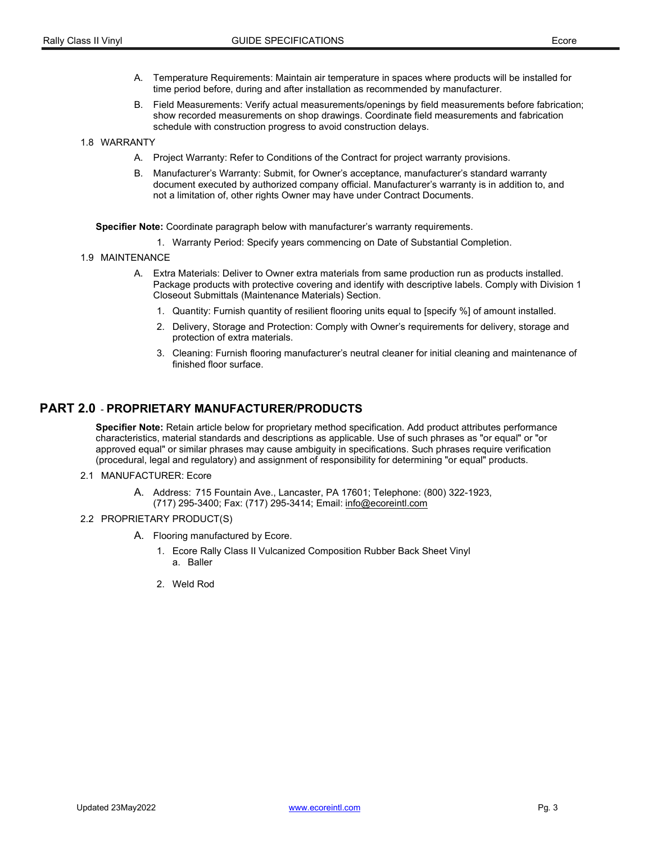- A. Temperature Requirements: Maintain air temperature in spaces where products will be installed for time period before, during and after installation as recommended by manufacturer.
- B. Field Measurements: Verify actual measurements/openings by field measurements before fabrication; show recorded measurements on shop drawings. Coordinate field measurements and fabrication schedule with construction progress to avoid construction delays.
- 1.8 WARRANTY
	- A. Project Warranty: Refer to Conditions of the Contract for project warranty provisions.
	- B. Manufacturer's Warranty: Submit, for Owner's acceptance, manufacturer's standard warranty document executed by authorized company official. Manufacturer's warranty is in addition to, and not a limitation of, other rights Owner may have under Contract Documents.

Specifier Note: Coordinate paragraph below with manufacturer's warranty requirements.

- 1. Warranty Period: Specify years commencing on Date of Substantial Completion.
- 1.9 MAINTENANCE
	- A. Extra Materials: Deliver to Owner extra materials from same production run as products installed. Package products with protective covering and identify with descriptive labels. Comply with Division 1 Closeout Submittals (Maintenance Materials) Section.
		- 1. Quantity: Furnish quantity of resilient flooring units equal to [specify %] of amount installed.
		- 2. Delivery, Storage and Protection: Comply with Owner's requirements for delivery, storage and protection of extra materials.
		- 3. Cleaning: Furnish flooring manufacturer's neutral cleaner for initial cleaning and maintenance of finished floor surface.

# PART 2.0 - PROPRIETARY MANUFACTURER/PRODUCTS

Specifier Note: Retain article below for proprietary method specification. Add product attributes performance characteristics, material standards and descriptions as applicable. Use of such phrases as "or equal" or "or approved equal" or similar phrases may cause ambiguity in specifications. Such phrases require verification (procedural, legal and regulatory) and assignment of responsibility for determining "or equal" products.

- 2.1 MANUFACTURER: Ecore
	- A. Address: 715 Fountain Ave., Lancaster, PA 17601; Telephone: (800) 322-1923, (717) 295-3400; Fax: (717) 295-3414; Email: info@ecoreintl.com
- 2.2 PROPRIETARY PRODUCT(S)
	- A. Flooring manufactured by Ecore.
		- 1. Ecore Rally Class II Vulcanized Composition Rubber Back Sheet Vinyl a. Baller
		- 2. Weld Rod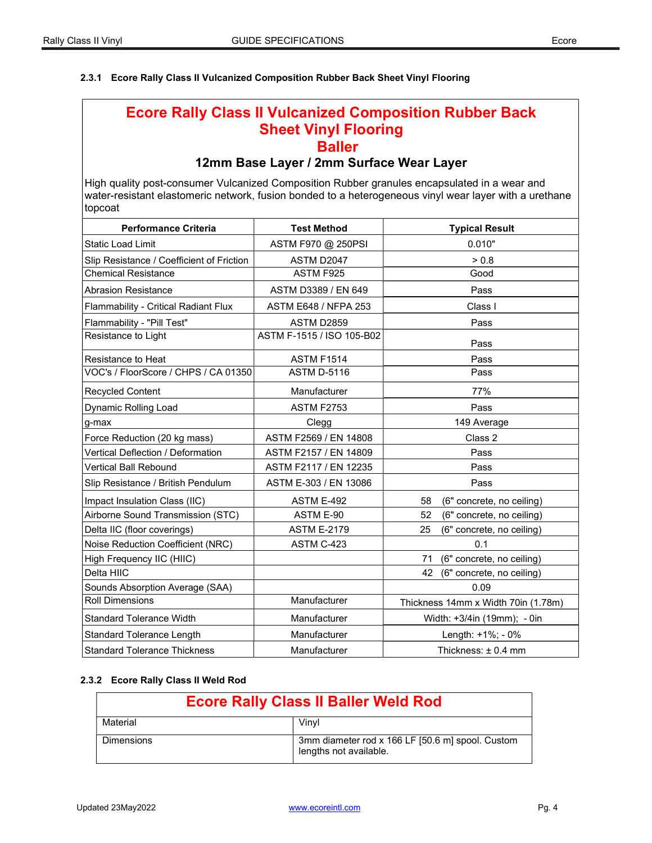## 2.3.1 Ecore Rally Class II Vulcanized Composition Rubber Back Sheet Vinyl Flooring

# Ecore Rally Class II Vulcanized Composition Rubber Back Sheet Vinyl Flooring **Baller**

# 12mm Base Layer / 2mm Surface Wear Layer

High quality post-consumer Vulcanized Composition Rubber granules encapsulated in a wear and water-resistant elastomeric network, fusion bonded to a heterogeneous vinyl wear layer with a urethane topcoat

| <b>Performance Criteria</b>               | <b>Test Method</b>          | <b>Typical Result</b>               |
|-------------------------------------------|-----------------------------|-------------------------------------|
| <b>Static Load Limit</b>                  | ASTM F970 @ 250PSI          | 0.010"                              |
| Slip Resistance / Coefficient of Friction | ASTM D2047                  | > 0.8                               |
| <b>Chemical Resistance</b>                | ASTM F925                   | Good                                |
| <b>Abrasion Resistance</b>                | ASTM D3389 / EN 649         | Pass                                |
| Flammability - Critical Radiant Flux      | <b>ASTM E648 / NFPA 253</b> | Class I                             |
| Flammability - "Pill Test"                | <b>ASTM D2859</b>           | Pass                                |
| Resistance to Light                       | ASTM F-1515 / ISO 105-B02   | Pass                                |
| Resistance to Heat                        | <b>ASTM F1514</b>           | Pass                                |
| VOC's / FloorScore / CHPS / CA 01350      | <b>ASTM D-5116</b>          | Pass                                |
| <b>Recycled Content</b>                   | Manufacturer                | 77%                                 |
| Dynamic Rolling Load                      | <b>ASTM F2753</b>           | Pass                                |
| g-max                                     | Clegg                       | 149 Average                         |
| Force Reduction (20 kg mass)              | ASTM F2569 / EN 14808       | Class 2                             |
| Vertical Deflection / Deformation         | ASTM F2157 / EN 14809       | Pass                                |
| Vertical Ball Rebound                     | ASTM F2117 / EN 12235       | Pass                                |
| Slip Resistance / British Pendulum        | ASTM E-303 / EN 13086       | Pass                                |
| Impact Insulation Class (IIC)             | ASTM E-492                  | (6" concrete, no ceiling)<br>58     |
| Airborne Sound Transmission (STC)         | ASTM E-90                   | (6" concrete, no ceiling)<br>52     |
| Delta IIC (floor coverings)               | <b>ASTM E-2179</b>          | (6" concrete, no ceiling)<br>25     |
| Noise Reduction Coefficient (NRC)         | ASTM C-423                  | 0.1                                 |
| High Frequency IIC (HIIC)                 |                             | (6" concrete, no ceiling)<br>71     |
| Delta HIIC                                |                             | (6" concrete, no ceiling)<br>42     |
| Sounds Absorption Average (SAA)           |                             | 0.09                                |
| <b>Roll Dimensions</b>                    | Manufacturer                | Thickness 14mm x Width 70in (1.78m) |
| <b>Standard Tolerance Width</b>           | Manufacturer                | Width: +3/4in (19mm); - 0in         |
| <b>Standard Tolerance Length</b>          | Manufacturer                | Length: +1%; - 0%                   |
| <b>Standard Tolerance Thickness</b>       | Manufacturer                | Thickness: ± 0.4 mm                 |

## 2.3.2 Ecore Rally Class II Weld Rod

| <b>Ecore Rally Class II Baller Weld Rod</b> |                                                                            |  |
|---------------------------------------------|----------------------------------------------------------------------------|--|
| Material                                    | Vinvl                                                                      |  |
| <b>Dimensions</b>                           | 3mm diameter rod x 166 LF [50.6 m] spool. Custom<br>lengths not available. |  |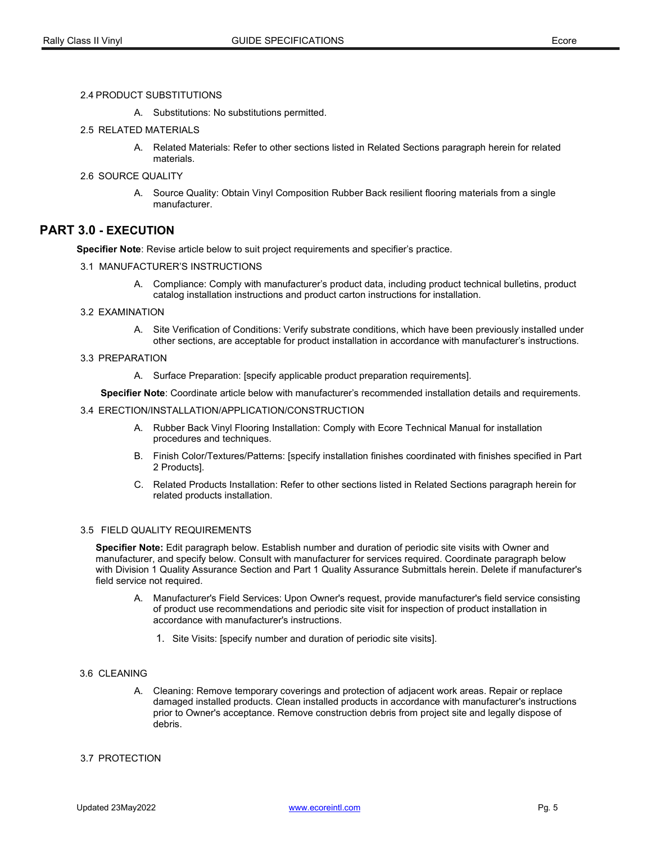#### 2.4 PRODUCT SUBSTITUTIONS

A. Substitutions: No substitutions permitted.

#### 2.5 RELATED MATERIALS

A. Related Materials: Refer to other sections listed in Related Sections paragraph herein for related materials.

#### 2.6 SOURCE QUALITY

A. Source Quality: Obtain Vinyl Composition Rubber Back resilient flooring materials from a single manufacturer.

# PART 3.0 - EXECUTION

Specifier Note: Revise article below to suit project requirements and specifier's practice.

#### 3.1 MANUFACTURER'S INSTRUCTIONS

A. Compliance: Comply with manufacturer's product data, including product technical bulletins, product catalog installation instructions and product carton instructions for installation.

#### 3.2 EXAMINATION

A. Site Verification of Conditions: Verify substrate conditions, which have been previously installed under other sections, are acceptable for product installation in accordance with manufacturer's instructions.

#### 3.3 PREPARATION

A. Surface Preparation: [specify applicable product preparation requirements].

Specifier Note: Coordinate article below with manufacturer's recommended installation details and requirements.

#### 3.4 ERECTION/INSTALLATION/APPLICATION/CONSTRUCTION

- A. Rubber Back Vinyl Flooring Installation: Comply with Ecore Technical Manual for installation procedures and techniques.
- B. Finish Color/Textures/Patterns: [specify installation finishes coordinated with finishes specified in Part 2 Products].
- C. Related Products Installation: Refer to other sections listed in Related Sections paragraph herein for related products installation.

#### 3.5 FIELD QUALITY REQUIREMENTS

Specifier Note: Edit paragraph below. Establish number and duration of periodic site visits with Owner and manufacturer, and specify below. Consult with manufacturer for services required. Coordinate paragraph below with Division 1 Quality Assurance Section and Part 1 Quality Assurance Submittals herein. Delete if manufacturer's field service not required.

- A. Manufacturer's Field Services: Upon Owner's request, provide manufacturer's field service consisting of product use recommendations and periodic site visit for inspection of product installation in accordance with manufacturer's instructions.
	- 1. Site Visits: [specify number and duration of periodic site visits].

#### 3.6 CLEANING

A. Cleaning: Remove temporary coverings and protection of adjacent work areas. Repair or replace damaged installed products. Clean installed products in accordance with manufacturer's instructions prior to Owner's acceptance. Remove construction debris from project site and legally dispose of debris.

#### 3.7 PROTECTION